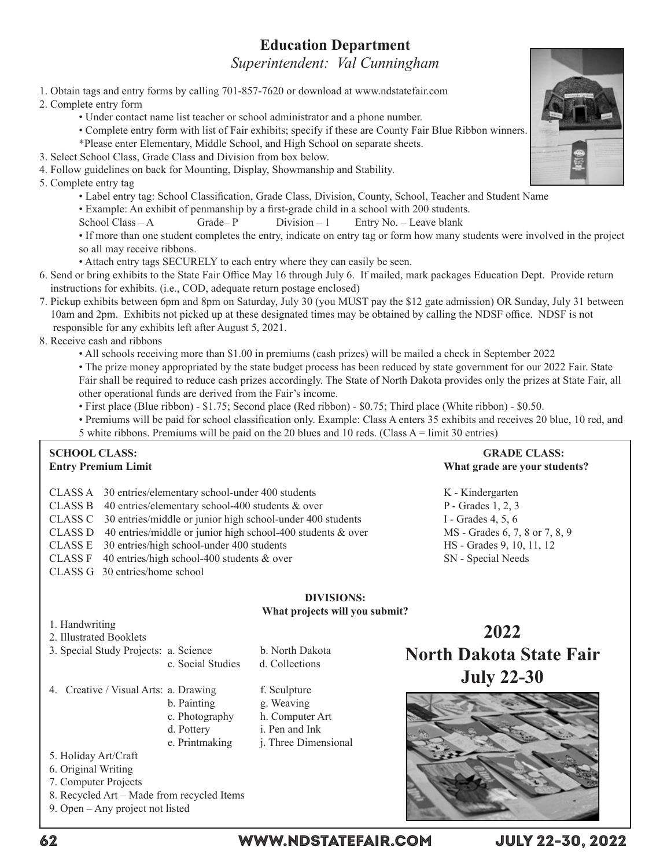# **Education Department**

*Superintendent: Val Cunningham*

1. Obtain tags and entry forms by calling 701-857-7620 or download at www.ndstatefair.com

2. Complete entry form

- Under contact name list teacher or school administrator and a phone number.
- Complete entry form with list of Fair exhibits; specify if these are County Fair Blue Ribbon winners.
- \*Please enter Elementary, Middle School, and High School on separate sheets.
- 3. Select School Class, Grade Class and Division from box below.
- 4. Follow guidelines on back for Mounting, Display, Showmanship and Stability.

5. Complete entry tag

 • Label entry tag: School Classification, Grade Class, Division, County, School, Teacher and Student Name

 • Example: An exhibit of penmanship by a first-grade child in a school with 200 students.

School Class – A Grade– P Division – 1 Entry No. – Leave blank

• If more than one student completes the entry, indicate on entry tag or form how many students were involved in the project so all may receive ribbons.

• Attach entry tags SECURELY to each entry where they can easily be seen.

6. Send or bring exhibits to the State Fair Office May 16 through July 6. If mailed, mark packages Education Dept. Provide return instructions for exhibits. (i.e., COD, adequate return postage enclosed)

7. Pickup exhibits between 6pm and 8pm on Saturday, July 30 (you MUST pay the \$12 gate admission) OR Sunday, July 31 between 10am and 2pm. Exhibits not picked up at these designated times may be obtained by calling the NDSF office. NDSF is not

responsible for any exhibits left after August 5, 2021.

8. Receive cash and ribbons

 • All schools receiving more than \$1.00 in premiums (cash prizes) will be mailed a check in September 2022

 • The prize money appropriated by the state budget process has been reduced by state government for our 2022 Fair. State Fair shall be required to reduce cash prizes accordingly. The State of North Dakota provides only the prizes at State Fair, all other operational funds are derived from the Fair's income.

 • First place (Blue ribbon) - \$1.75; Second place (Red ribbon) - \$0.75; Third place (White ribbon) - \$0.50.

- Premiums will be paid for school classification only. Example: Class A enters 35 exhibits and receives 20 blue, 10 red, and
- 5 white ribbons. Premiums will be paid on the 20 blues and 10 reds. (Class A = limit 30 entries)

b. North Dakota d. Collections

#### **SCHOOL CLASS:** GRADE CLASS: **Entry Premium Limit Construction Construction Construction Construction Construction Construction Construction Construction Construction Construction Construction Construction Construction Construction Construction Constr**

- CLASS A 30 entries/elementary school-under 400 students K Kindergarten
- CLASS B 40 entries/elementary school-400 students & over P Grades 1, 2, 3
- CLASS C 30 entries/middle or junior high school-under 400 students I Grades 4, 5, 6
- CLASS D 40 entries/middle or junior high school-400 students  $&$  over MS Grades 6, 7, 8 or 7, 8, 9
- CLASS E 30 entries/high school-under 400 students HS Grades 9, 10, 11, 12
- CLASS F 40 entries/high school-400 students & over SN Special Needs
- CLASS G 30 entries/home school

### **DIVISIONS: What projects will you submit?**

1. Handwriting

| 2. Illustrated Booklets |  |
|-------------------------|--|
|-------------------------|--|

| 3. Special Study Projects: a. Science |                   |
|---------------------------------------|-------------------|
|                                       | c. Social Studies |

4. Creative / Visual Arts: a. Drawing f. Sculpture b. Painting g. Weaving c. Photography h. Computer Art d. Pottery i. Pen and Ink e. Printmaking *j.* Three Dimensional

5. Holiday Art/Craft

- 6. Original Writing
- 7. Computer Projects
- 8. Recycled Art Made from recycled Items

9. Open – Any project not listed



**2022 North Dakota State Fair**